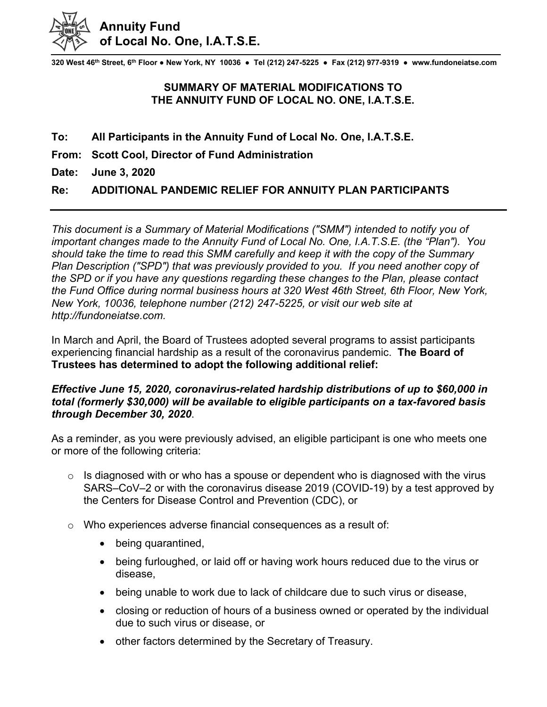

**320 West 46th Street, 6th Floor ● New York, NY 10036 ● Tel (212) 247-5225 ● Fax (212) 977-9319 ● www.fundoneiatse.com** 

## **SUMMARY OF MATERIAL MODIFICATIONS TO THE ANNUITY FUND OF LOCAL NO. ONE, I.A.T.S.E.**

- **To: All Participants in the Annuity Fund of Local No. One, I.A.T.S.E.**
- **From: Scott Cool, Director of Fund Administration**
- **Date: June 3, 2020**

## **Re: ADDITIONAL PANDEMIC RELIEF FOR ANNUITY PLAN PARTICIPANTS**

*This document is a Summary of Material Modifications ("SMM") intended to notify you of important changes made to the Annuity Fund of Local No. One, I.A.T.S.E. (the "Plan"). You should take the time to read this SMM carefully and keep it with the copy of the Summary Plan Description ("SPD") that was previously provided to you. If you need another copy of the SPD or if you have any questions regarding these changes to the Plan, please contact the Fund Office during normal business hours at 320 West 46th Street, 6th Floor, New York, New York, 10036, telephone number (212) 247-5225, or visit our web site at http://fundoneiatse.com.* 

In March and April, the Board of Trustees adopted several programs to assist participants experiencing financial hardship as a result of the coronavirus pandemic. **The Board of Trustees has determined to adopt the following additional relief:**

## *Effective June 15, 2020, coronavirus-related hardship distributions of up to \$60,000 in total (formerly \$30,000) will be available to eligible participants on a tax-favored basis through December 30, 2020*.

As a reminder, as you were previously advised, an eligible participant is one who meets one or more of the following criteria:

- $\circ$  Is diagnosed with or who has a spouse or dependent who is diagnosed with the virus SARS–CoV–2 or with the coronavirus disease 2019 (COVID-19) by a test approved by the Centers for Disease Control and Prevention (CDC), or
- o Who experiences adverse financial consequences as a result of:
	- being quarantined,
	- being furloughed, or laid off or having work hours reduced due to the virus or disease,
	- being unable to work due to lack of childcare due to such virus or disease,
	- closing or reduction of hours of a business owned or operated by the individual due to such virus or disease, or
	- other factors determined by the Secretary of Treasury.